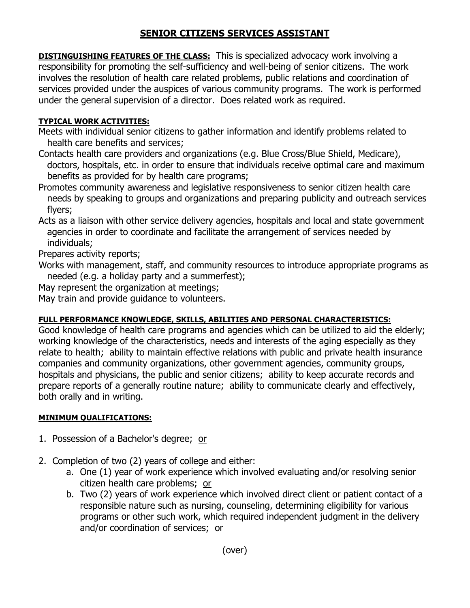## **SENIOR CITIZENS SERVICES ASSISTANT**

**DISTINGUISHING FEATURES OF THE CLASS:** This is specialized advocacy work involving a responsibility for promoting the self-sufficiency and well-being of senior citizens. The work involves the resolution of health care related problems, public relations and coordination of services provided under the auspices of various community programs. The work is performed under the general supervision of a director. Does related work as required.

## **TYPICAL WORK ACTIVITIES:**

- Meets with individual senior citizens to gather information and identify problems related to health care benefits and services;
- Contacts health care providers and organizations (e.g. Blue Cross/Blue Shield, Medicare), doctors, hospitals, etc. in order to ensure that individuals receive optimal care and maximum benefits as provided for by health care programs;
- Promotes community awareness and legislative responsiveness to senior citizen health care needs by speaking to groups and organizations and preparing publicity and outreach services flyers;
- Acts as a liaison with other service delivery agencies, hospitals and local and state government agencies in order to coordinate and facilitate the arrangement of services needed by individuals;

Prepares activity reports;

- Works with management, staff, and community resources to introduce appropriate programs as needed (e.g. a holiday party and a summerfest);
- May represent the organization at meetings;

May train and provide guidance to volunteers.

## **FULL PERFORMANCE KNOWLEDGE, SKILLS, ABILITIES AND PERSONAL CHARACTERISTICS:**

Good knowledge of health care programs and agencies which can be utilized to aid the elderly; working knowledge of the characteristics, needs and interests of the aging especially as they relate to health; ability to maintain effective relations with public and private health insurance companies and community organizations, other government agencies, community groups, hospitals and physicians, the public and senior citizens; ability to keep accurate records and prepare reports of a generally routine nature; ability to communicate clearly and effectively, both orally and in writing.

## **MINIMUM QUALIFICATIONS:**

- 1. Possession of a Bachelor's degree; or
- 2. Completion of two (2) years of college and either:
	- a. One (1) year of work experience which involved evaluating and/or resolving senior citizen health care problems; or
	- b. Two (2) years of work experience which involved direct client or patient contact of a responsible nature such as nursing, counseling, determining eligibility for various programs or other such work, which required independent judgment in the delivery and/or coordination of services; or